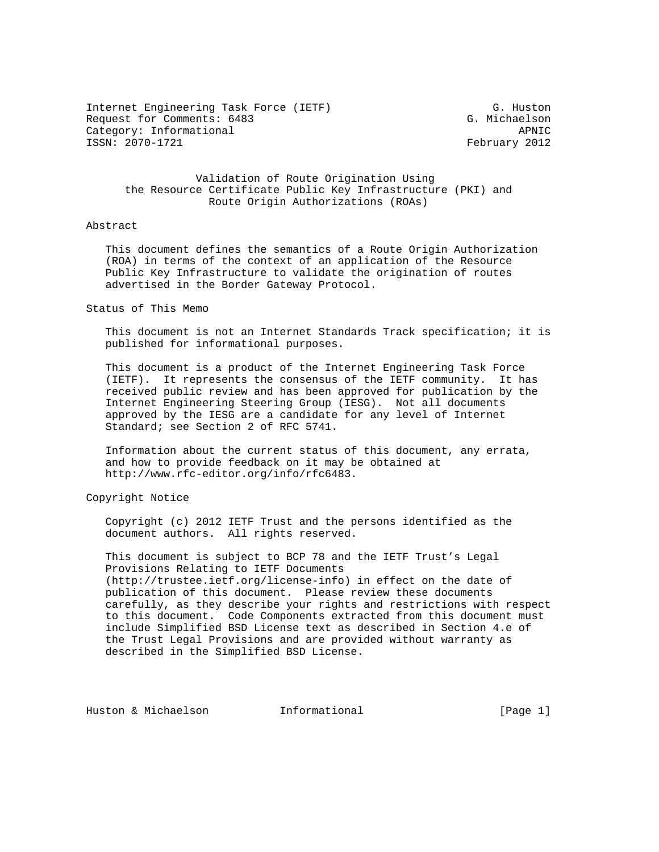Internet Engineering Task Force (IETF) G. Huston Request for Comments: 6483 G. Michaelson Category: Informational APNIC

February 2012

 Validation of Route Origination Using the Resource Certificate Public Key Infrastructure (PKI) and Route Origin Authorizations (ROAs)

#### Abstract

 This document defines the semantics of a Route Origin Authorization (ROA) in terms of the context of an application of the Resource Public Key Infrastructure to validate the origination of routes advertised in the Border Gateway Protocol.

Status of This Memo

 This document is not an Internet Standards Track specification; it is published for informational purposes.

 This document is a product of the Internet Engineering Task Force (IETF). It represents the consensus of the IETF community. It has received public review and has been approved for publication by the Internet Engineering Steering Group (IESG). Not all documents approved by the IESG are a candidate for any level of Internet Standard; see Section 2 of RFC 5741.

 Information about the current status of this document, any errata, and how to provide feedback on it may be obtained at http://www.rfc-editor.org/info/rfc6483.

Copyright Notice

 Copyright (c) 2012 IETF Trust and the persons identified as the document authors. All rights reserved.

 This document is subject to BCP 78 and the IETF Trust's Legal Provisions Relating to IETF Documents (http://trustee.ietf.org/license-info) in effect on the date of publication of this document. Please review these documents carefully, as they describe your rights and restrictions with respect to this document. Code Components extracted from this document must include Simplified BSD License text as described in Section 4.e of the Trust Legal Provisions and are provided without warranty as described in the Simplified BSD License.

Huston & Michaelson **Informational** [Page 1]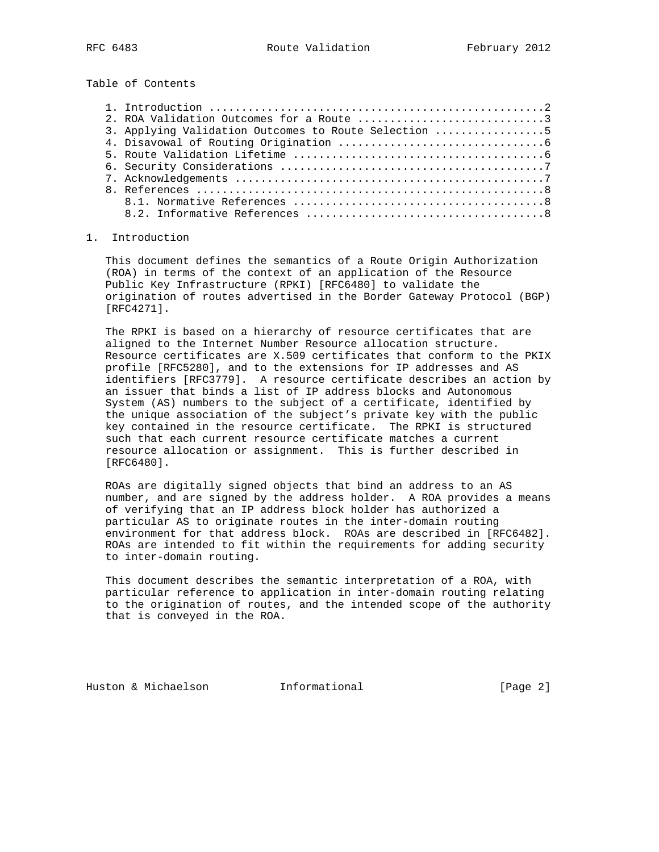Table of Contents

| 2. ROA Validation Outcomes for a Route 3             |  |
|------------------------------------------------------|--|
| 3. Applying Validation Outcomes to Route Selection 5 |  |
|                                                      |  |
|                                                      |  |
|                                                      |  |
|                                                      |  |
|                                                      |  |
|                                                      |  |
|                                                      |  |

# 1. Introduction

 This document defines the semantics of a Route Origin Authorization (ROA) in terms of the context of an application of the Resource Public Key Infrastructure (RPKI) [RFC6480] to validate the origination of routes advertised in the Border Gateway Protocol (BGP) [RFC4271].

 The RPKI is based on a hierarchy of resource certificates that are aligned to the Internet Number Resource allocation structure. Resource certificates are X.509 certificates that conform to the PKIX profile [RFC5280], and to the extensions for IP addresses and AS identifiers [RFC3779]. A resource certificate describes an action by an issuer that binds a list of IP address blocks and Autonomous System (AS) numbers to the subject of a certificate, identified by the unique association of the subject's private key with the public key contained in the resource certificate. The RPKI is structured such that each current resource certificate matches a current resource allocation or assignment. This is further described in [RFC6480].

 ROAs are digitally signed objects that bind an address to an AS number, and are signed by the address holder. A ROA provides a means of verifying that an IP address block holder has authorized a particular AS to originate routes in the inter-domain routing environment for that address block. ROAs are described in [RFC6482]. ROAs are intended to fit within the requirements for adding security to inter-domain routing.

 This document describes the semantic interpretation of a ROA, with particular reference to application in inter-domain routing relating to the origination of routes, and the intended scope of the authority that is conveyed in the ROA.

Huston & Michaelson **Informational** [Page 2]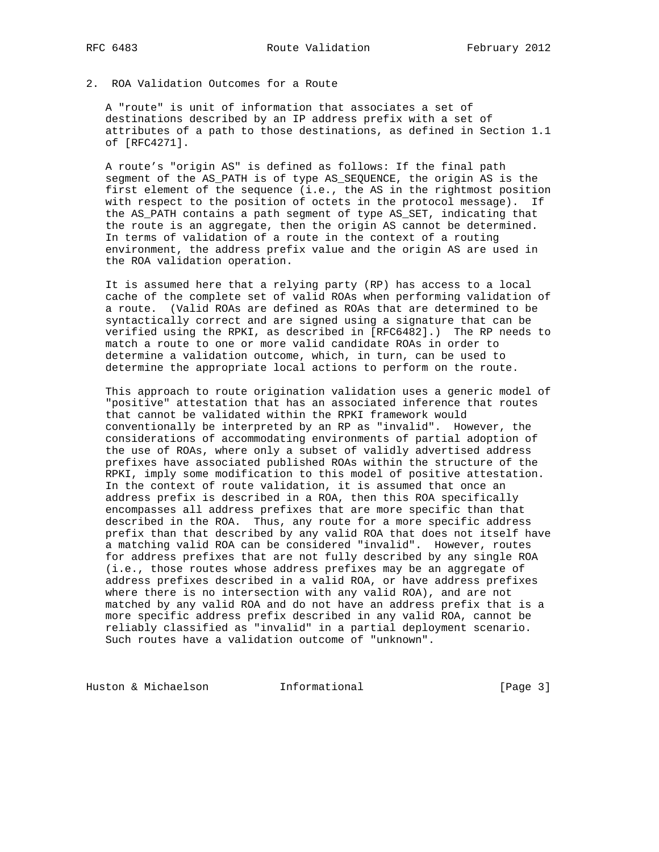2. ROA Validation Outcomes for a Route

 A "route" is unit of information that associates a set of destinations described by an IP address prefix with a set of attributes of a path to those destinations, as defined in Section 1.1 of [RFC4271].

 A route's "origin AS" is defined as follows: If the final path segment of the AS\_PATH is of type AS\_SEQUENCE, the origin AS is the first element of the sequence (i.e., the AS in the rightmost position with respect to the position of octets in the protocol message). If the AS\_PATH contains a path segment of type AS\_SET, indicating that the route is an aggregate, then the origin AS cannot be determined. In terms of validation of a route in the context of a routing environment, the address prefix value and the origin AS are used in the ROA validation operation.

 It is assumed here that a relying party (RP) has access to a local cache of the complete set of valid ROAs when performing validation of a route. (Valid ROAs are defined as ROAs that are determined to be syntactically correct and are signed using a signature that can be verified using the RPKI, as described in [RFC6482].) The RP needs to match a route to one or more valid candidate ROAs in order to determine a validation outcome, which, in turn, can be used to determine the appropriate local actions to perform on the route.

 This approach to route origination validation uses a generic model of "positive" attestation that has an associated inference that routes that cannot be validated within the RPKI framework would conventionally be interpreted by an RP as "invalid". However, the considerations of accommodating environments of partial adoption of the use of ROAs, where only a subset of validly advertised address prefixes have associated published ROAs within the structure of the RPKI, imply some modification to this model of positive attestation. In the context of route validation, it is assumed that once an address prefix is described in a ROA, then this ROA specifically encompasses all address prefixes that are more specific than that described in the ROA. Thus, any route for a more specific address prefix than that described by any valid ROA that does not itself have a matching valid ROA can be considered "invalid". However, routes for address prefixes that are not fully described by any single ROA (i.e., those routes whose address prefixes may be an aggregate of address prefixes described in a valid ROA, or have address prefixes where there is no intersection with any valid ROA), and are not matched by any valid ROA and do not have an address prefix that is a more specific address prefix described in any valid ROA, cannot be reliably classified as "invalid" in a partial deployment scenario. Such routes have a validation outcome of "unknown".

Huston & Michaelson **Informational Informational** [Page 3]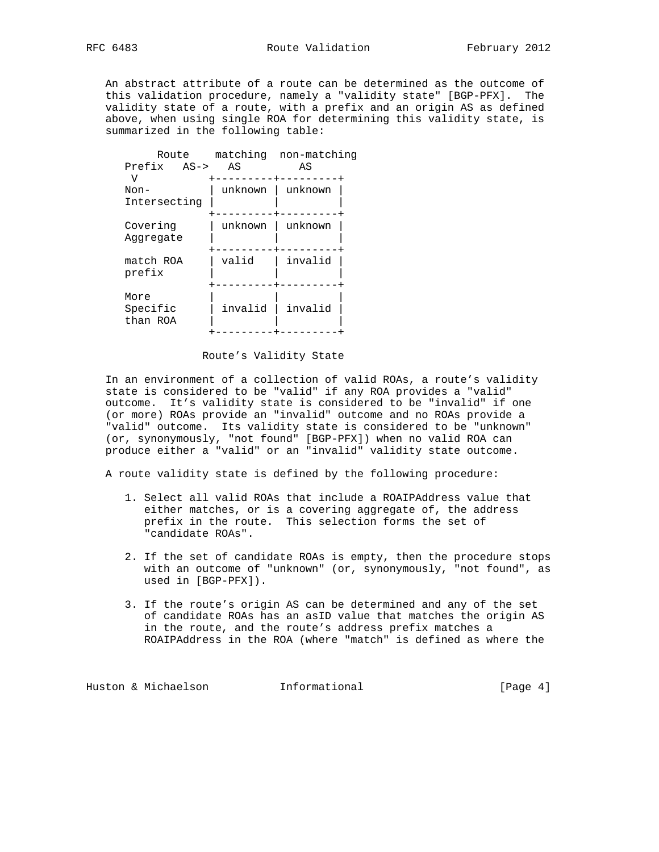An abstract attribute of a route can be determined as the outcome of this validation procedure, namely a "validity state" [BGP-PFX]. The validity state of a route, with a prefix and an origin AS as defined above, when using single ROA for determining this validity state, is summarized in the following table:

| Route                        |  |         | matching non-matching |  |
|------------------------------|--|---------|-----------------------|--|
| Prefix AS->                  |  | ΆS      | AS                    |  |
| ٦T<br>Non-<br>Intersecting   |  | unknown | unknown               |  |
| Covering<br>Aqqreqate        |  | unknown | unknown               |  |
| match ROA<br>prefix          |  | valid   | invalid               |  |
| More<br>Specific<br>than ROA |  | invalid | invalid               |  |
|                              |  |         |                       |  |

#### Route's Validity State

 In an environment of a collection of valid ROAs, a route's validity state is considered to be "valid" if any ROA provides a "valid" outcome. It's validity state is considered to be "invalid" if one (or more) ROAs provide an "invalid" outcome and no ROAs provide a "valid" outcome. Its validity state is considered to be "unknown" (or, synonymously, "not found" [BGP-PFX]) when no valid ROA can produce either a "valid" or an "invalid" validity state outcome.

A route validity state is defined by the following procedure:

- 1. Select all valid ROAs that include a ROAIPAddress value that either matches, or is a covering aggregate of, the address prefix in the route. This selection forms the set of "candidate ROAs".
- 2. If the set of candidate ROAs is empty, then the procedure stops with an outcome of "unknown" (or, synonymously, "not found", as used in [BGP-PFX]).
- 3. If the route's origin AS can be determined and any of the set of candidate ROAs has an asID value that matches the origin AS in the route, and the route's address prefix matches a ROAIPAddress in the ROA (where "match" is defined as where the

Huston & Michaelson **Informational** [Page 4]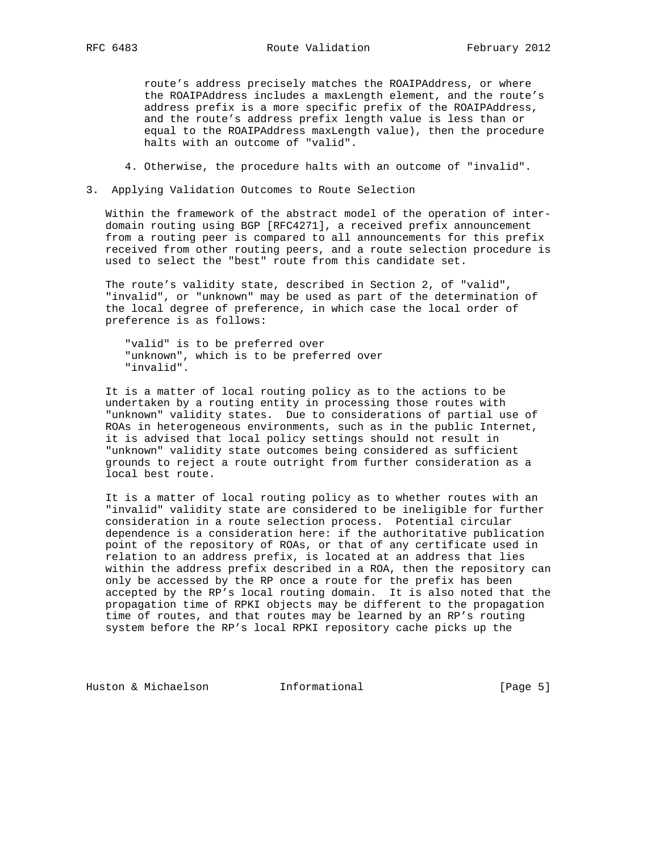route's address precisely matches the ROAIPAddress, or where the ROAIPAddress includes a maxLength element, and the route's address prefix is a more specific prefix of the ROAIPAddress, and the route's address prefix length value is less than or equal to the ROAIPAddress maxLength value), then the procedure halts with an outcome of "valid".

- 4. Otherwise, the procedure halts with an outcome of "invalid".
- 3. Applying Validation Outcomes to Route Selection

 Within the framework of the abstract model of the operation of inter domain routing using BGP [RFC4271], a received prefix announcement from a routing peer is compared to all announcements for this prefix received from other routing peers, and a route selection procedure is used to select the "best" route from this candidate set.

 The route's validity state, described in Section 2, of "valid", "invalid", or "unknown" may be used as part of the determination of the local degree of preference, in which case the local order of preference is as follows:

 "valid" is to be preferred over "unknown", which is to be preferred over "invalid".

 It is a matter of local routing policy as to the actions to be undertaken by a routing entity in processing those routes with "unknown" validity states. Due to considerations of partial use of ROAs in heterogeneous environments, such as in the public Internet, it is advised that local policy settings should not result in "unknown" validity state outcomes being considered as sufficient grounds to reject a route outright from further consideration as a local best route.

 It is a matter of local routing policy as to whether routes with an "invalid" validity state are considered to be ineligible for further consideration in a route selection process. Potential circular dependence is a consideration here: if the authoritative publication point of the repository of ROAs, or that of any certificate used in relation to an address prefix, is located at an address that lies within the address prefix described in a ROA, then the repository can only be accessed by the RP once a route for the prefix has been accepted by the RP's local routing domain. It is also noted that the propagation time of RPKI objects may be different to the propagation time of routes, and that routes may be learned by an RP's routing system before the RP's local RPKI repository cache picks up the

Huston & Michaelson **Informational** [Page 5]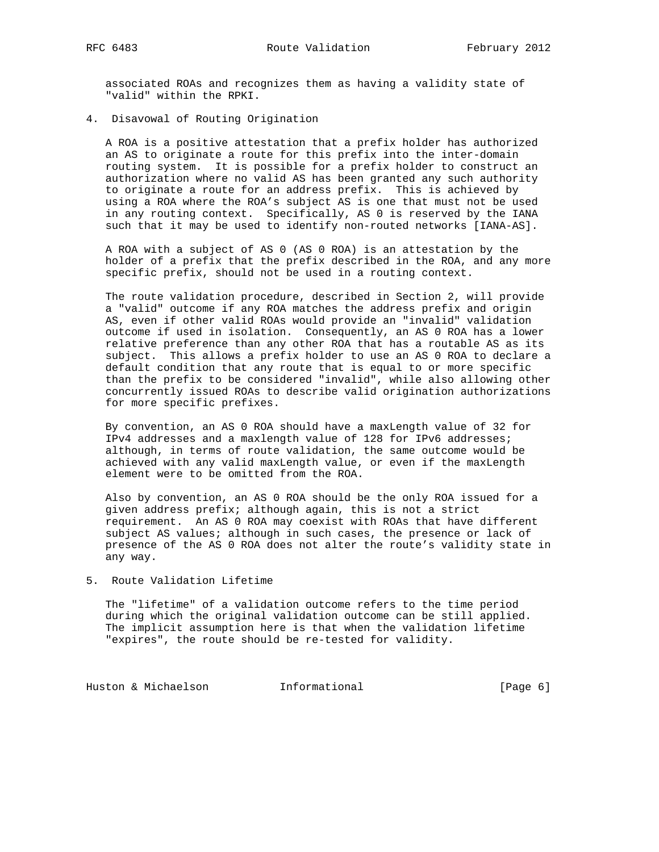associated ROAs and recognizes them as having a validity state of "valid" within the RPKI.

4. Disavowal of Routing Origination

 A ROA is a positive attestation that a prefix holder has authorized an AS to originate a route for this prefix into the inter-domain routing system. It is possible for a prefix holder to construct an authorization where no valid AS has been granted any such authority to originate a route for an address prefix. This is achieved by using a ROA where the ROA's subject AS is one that must not be used in any routing context. Specifically, AS 0 is reserved by the IANA such that it may be used to identify non-routed networks [IANA-AS].

 A ROA with a subject of AS 0 (AS 0 ROA) is an attestation by the holder of a prefix that the prefix described in the ROA, and any more specific prefix, should not be used in a routing context.

 The route validation procedure, described in Section 2, will provide a "valid" outcome if any ROA matches the address prefix and origin AS, even if other valid ROAs would provide an "invalid" validation outcome if used in isolation. Consequently, an AS 0 ROA has a lower relative preference than any other ROA that has a routable AS as its subject. This allows a prefix holder to use an AS 0 ROA to declare a default condition that any route that is equal to or more specific than the prefix to be considered "invalid", while also allowing other concurrently issued ROAs to describe valid origination authorizations for more specific prefixes.

 By convention, an AS 0 ROA should have a maxLength value of 32 for IPv4 addresses and a maxlength value of 128 for IPv6 addresses; although, in terms of route validation, the same outcome would be achieved with any valid maxLength value, or even if the maxLength element were to be omitted from the ROA.

 Also by convention, an AS 0 ROA should be the only ROA issued for a given address prefix; although again, this is not a strict requirement. An AS 0 ROA may coexist with ROAs that have different subject AS values; although in such cases, the presence or lack of presence of the AS 0 ROA does not alter the route's validity state in any way.

5. Route Validation Lifetime

 The "lifetime" of a validation outcome refers to the time period during which the original validation outcome can be still applied. The implicit assumption here is that when the validation lifetime "expires", the route should be re-tested for validity.

Huston & Michaelson **Informational** [Page 6]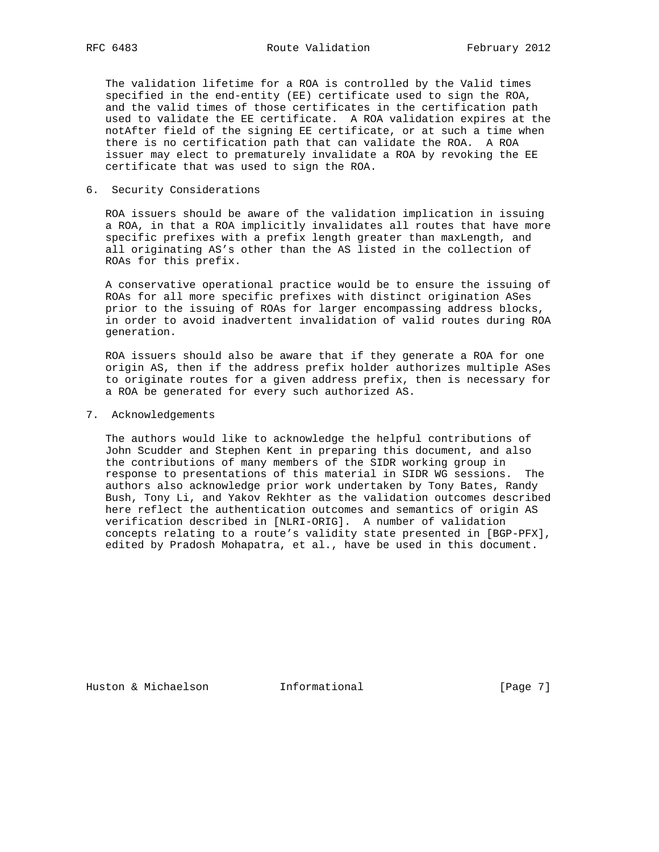The validation lifetime for a ROA is controlled by the Valid times specified in the end-entity (EE) certificate used to sign the ROA, and the valid times of those certificates in the certification path used to validate the EE certificate. A ROA validation expires at the notAfter field of the signing EE certificate, or at such a time when there is no certification path that can validate the ROA. A ROA issuer may elect to prematurely invalidate a ROA by revoking the EE certificate that was used to sign the ROA.

### 6. Security Considerations

 ROA issuers should be aware of the validation implication in issuing a ROA, in that a ROA implicitly invalidates all routes that have more specific prefixes with a prefix length greater than maxLength, and all originating AS's other than the AS listed in the collection of ROAs for this prefix.

 A conservative operational practice would be to ensure the issuing of ROAs for all more specific prefixes with distinct origination ASes prior to the issuing of ROAs for larger encompassing address blocks, in order to avoid inadvertent invalidation of valid routes during ROA generation.

 ROA issuers should also be aware that if they generate a ROA for one origin AS, then if the address prefix holder authorizes multiple ASes to originate routes for a given address prefix, then is necessary for a ROA be generated for every such authorized AS.

7. Acknowledgements

 The authors would like to acknowledge the helpful contributions of John Scudder and Stephen Kent in preparing this document, and also the contributions of many members of the SIDR working group in response to presentations of this material in SIDR WG sessions. The authors also acknowledge prior work undertaken by Tony Bates, Randy Bush, Tony Li, and Yakov Rekhter as the validation outcomes described here reflect the authentication outcomes and semantics of origin AS verification described in [NLRI-ORIG]. A number of validation concepts relating to a route's validity state presented in [BGP-PFX], edited by Pradosh Mohapatra, et al., have be used in this document.

Huston & Michaelson **Informational** [Page 7]